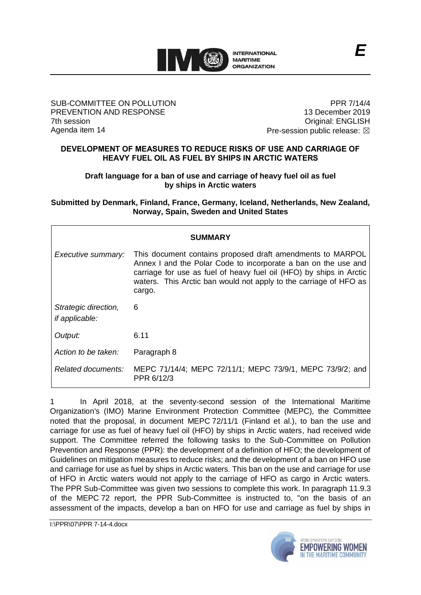

### SUB-COMMITTEE ON POLLUTION PREVENTION AND RESPONSE 7th session Agenda item 14

PPR 7/14/4 13 December 2019 Original: ENGLISH Pre-session public release:  $\boxtimes$ 

# **DEVELOPMENT OF MEASURES TO REDUCE RISKS OF USE AND CARRIAGE OF HEAVY FUEL OIL AS FUEL BY SHIPS IN ARCTIC WATERS**

**Draft language for a ban of use and carriage of heavy fuel oil as fuel by ships in Arctic waters**

**Submitted by Denmark, Finland, France, Germany, Iceland, Netherlands, New Zealand, Norway, Spain, Sweden and United States**

| <b>SUMMARY</b>                                |                                                                                                                                                                                                                                                                                    |
|-----------------------------------------------|------------------------------------------------------------------------------------------------------------------------------------------------------------------------------------------------------------------------------------------------------------------------------------|
| Executive summary:                            | This document contains proposed draft amendments to MARPOL<br>Annex I and the Polar Code to incorporate a ban on the use and<br>carriage for use as fuel of heavy fuel oil (HFO) by ships in Arctic<br>waters. This Arctic ban would not apply to the carriage of HFO as<br>cargo. |
| Strategic direction,<br><i>if applicable:</i> | 6                                                                                                                                                                                                                                                                                  |
| Output:                                       | 6.11                                                                                                                                                                                                                                                                               |
| Action to be taken:                           | Paragraph 8                                                                                                                                                                                                                                                                        |
| Related documents:                            | MEPC 71/14/4; MEPC 72/11/1; MEPC 73/9/1, MEPC 73/9/2; and<br>PPR 6/12/3                                                                                                                                                                                                            |

1 In April 2018, at the seventy-second session of the International Maritime Organization's (IMO) Marine Environment Protection Committee (MEPC), the Committee noted that the proposal, in document MEPC 72/11/1 (Finland et al.), to ban the use and carriage for use as fuel of heavy fuel oil (HFO) by ships in Arctic waters, had received wide support. The Committee referred the following tasks to the Sub-Committee on Pollution Prevention and Response (PPR): the development of a definition of HFO; the development of Guidelines on mitigation measures to reduce risks; and the development of a ban on HFO use and carriage for use as fuel by ships in Arctic waters. This ban on the use and carriage for use of HFO in Arctic waters would not apply to the carriage of HFO as cargo in Arctic waters. The PPR Sub-Committee was given two sessions to complete this work. In paragraph 11.9.3 of the MEPC 72 report, the PPR Sub-Committee is instructed to, "on the basis of an assessment of the impacts, develop a ban on HFO for use and carriage as fuel by ships in

I:\PPR\07\PPR 7-14-4.docx

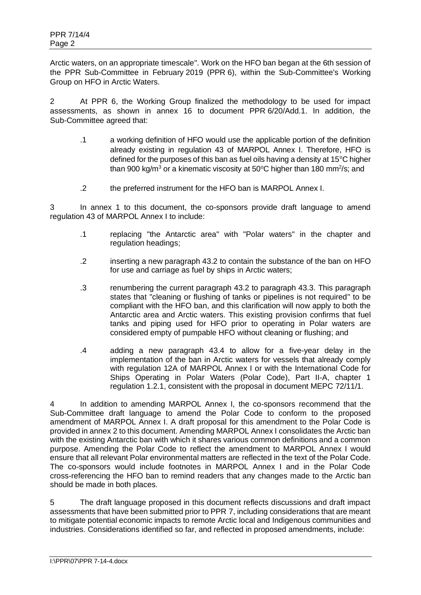Arctic waters, on an appropriate timescale". Work on the HFO ban began at the 6th session of the PPR Sub-Committee in February 2019 (PPR 6), within the Sub-Committee's Working Group on HFO in Arctic Waters.

2 At PPR 6, the Working Group finalized the methodology to be used for impact assessments, as shown in annex 16 to document PPR 6/20/Add.1. In addition, the Sub-Committee agreed that:

- .1 a working definition of HFO would use the applicable portion of the definition already existing in regulation 43 of MARPOL Annex I. Therefore, HFO is defined for the purposes of this ban as fuel oils having a density at 15 $\mathrm{^{\circ}C}$  higher than 900 kg/m<sup>3</sup> or a kinematic viscosity at 50°C higher than 180 mm<sup>2</sup>/s; and
- .2 the preferred instrument for the HFO ban is MARPOL Annex I.

3 In annex 1 to this document, the co-sponsors provide draft language to amend regulation 43 of MARPOL Annex I to include:

- .1 replacing "the Antarctic area" with "Polar waters" in the chapter and regulation headings;
- .2 inserting a new paragraph 43.2 to contain the substance of the ban on HFO for use and carriage as fuel by ships in Arctic waters;
- .3 renumbering the current paragraph 43.2 to paragraph 43.3. This paragraph states that "cleaning or flushing of tanks or pipelines is not required" to be compliant with the HFO ban, and this clarification will now apply to both the Antarctic area and Arctic waters. This existing provision confirms that fuel tanks and piping used for HFO prior to operating in Polar waters are considered empty of pumpable HFO without cleaning or flushing; and
- .4 adding a new paragraph 43.4 to allow for a five-year delay in the implementation of the ban in Arctic waters for vessels that already comply with regulation 12A of MARPOL Annex I or with the International Code for Ships Operating in Polar Waters (Polar Code), Part II-A, chapter 1 regulation 1.2.1, consistent with the proposal in document MEPC 72/11/1.

4 In addition to amending MARPOL Annex I, the co-sponsors recommend that the Sub-Committee draft language to amend the Polar Code to conform to the proposed amendment of MARPOL Annex I. A draft proposal for this amendment to the Polar Code is provided in annex 2 to this document. Amending MARPOL Annex I consolidates the Arctic ban with the existing Antarctic ban with which it shares various common definitions and a common purpose. Amending the Polar Code to reflect the amendment to MARPOL Annex I would ensure that all relevant Polar environmental matters are reflected in the text of the Polar Code. The co-sponsors would include footnotes in MARPOL Annex I and in the Polar Code cross-referencing the HFO ban to remind readers that any changes made to the Arctic ban should be made in both places.

5 The draft language proposed in this document reflects discussions and draft impact assessments that have been submitted prior to PPR 7, including considerations that are meant to mitigate potential economic impacts to remote Arctic local and Indigenous communities and industries. Considerations identified so far, and reflected in proposed amendments, include: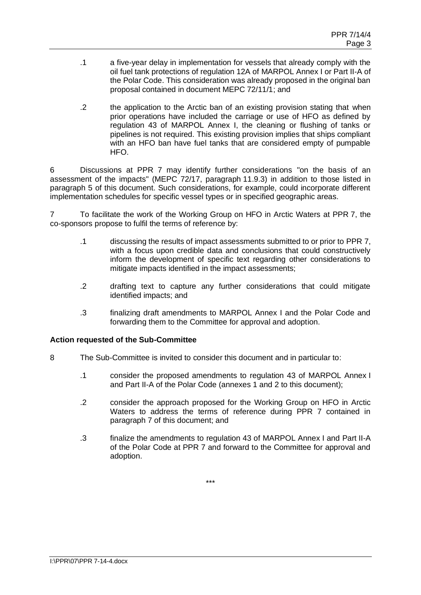- .1 a five-year delay in implementation for vessels that already comply with the oil fuel tank protections of regulation 12A of MARPOL Annex I or Part II-A of the Polar Code. This consideration was already proposed in the original ban proposal contained in document MEPC 72/11/1; and
- .2 the application to the Arctic ban of an existing provision stating that when prior operations have included the carriage or use of HFO as defined by regulation 43 of MARPOL Annex I, the cleaning or flushing of tanks or pipelines is not required. This existing provision implies that ships compliant with an HFO ban have fuel tanks that are considered empty of pumpable HFO.

6 Discussions at PPR 7 may identify further considerations "on the basis of an assessment of the impacts" (MEPC 72/17, paragraph 11.9.3) in addition to those listed in paragraph 5 of this document. Such considerations, for example, could incorporate different implementation schedules for specific vessel types or in specified geographic areas.

7 To facilitate the work of the Working Group on HFO in Arctic Waters at PPR 7, the co-sponsors propose to fulfil the terms of reference by:

- .1 discussing the results of impact assessments submitted to or prior to PPR 7, with a focus upon credible data and conclusions that could constructively inform the development of specific text regarding other considerations to mitigate impacts identified in the impact assessments;
- .2 drafting text to capture any further considerations that could mitigate identified impacts; and
- .3 finalizing draft amendments to MARPOL Annex I and the Polar Code and forwarding them to the Committee for approval and adoption.

# **Action requested of the Sub-Committee**

- 8 The Sub-Committee is invited to consider this document and in particular to:
	- .1 consider the proposed amendments to regulation 43 of MARPOL Annex I and Part II-A of the Polar Code (annexes 1 and 2 to this document);
	- .2 consider the approach proposed for the Working Group on HFO in Arctic Waters to address the terms of reference during PPR 7 contained in paragraph 7 of this document; and
	- .3 finalize the amendments to regulation 43 of MARPOL Annex I and Part II-A of the Polar Code at PPR 7 and forward to the Committee for approval and adoption.

\*\*\*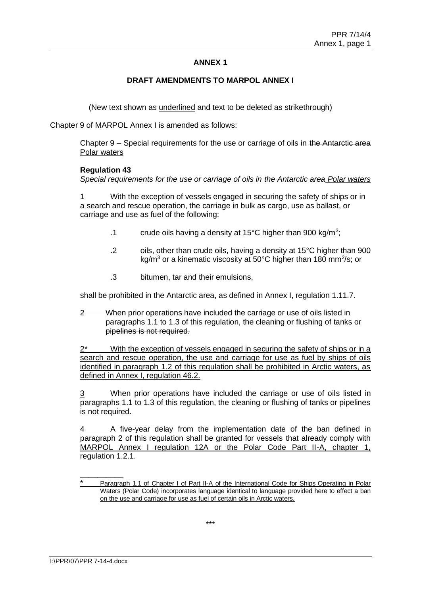# **ANNEX 1**

### **DRAFT AMENDMENTS TO MARPOL ANNEX I**

(New text shown as underlined and text to be deleted as strikethrough)

Chapter 9 of MARPOL Annex I is amended as follows:

Chapter 9 – Special requirements for the use or carriage of oils in the Antarctic area Polar waters

#### **Regulation 43**

*Special requirements for the use or carriage of oils in the Antarctic area Polar waters*

1 With the exception of vessels engaged in securing the safety of ships or in a search and rescue operation, the carriage in bulk as cargo, use as ballast, or carriage and use as fuel of the following:

- .1 crude oils having a density at 15 $^{\circ}$ C higher than 900 kg/m<sup>3</sup>;
- .2 oils, other than crude oils, having a density at 15°C higher than 900 kg/m<sup>3</sup> or a kinematic viscosity at 50°C higher than 180 mm<sup>2</sup>/s; or
- .3 bitumen, tar and their emulsions,

shall be prohibited in the Antarctic area, as defined in Annex I, regulation 1.11.7.

2 When prior operations have included the carriage or use of oils listed in paragraphs 1.1 to 1.3 of this regulation, the cleaning or flushing of tanks or pipelines is not required.

2\* With the exception of vessels engaged in securing the safety of ships or in a search and rescue operation, the use and carriage for use as fuel by ships of oils identified in paragraph 1.2 of this regulation shall be prohibited in Arctic waters, as defined in Annex I, regulation 46.2.

3 When prior operations have included the carriage or use of oils listed in paragraphs 1.1 to 1.3 of this regulation, the cleaning or flushing of tanks or pipelines is not required.

4 A five-year delay from the implementation date of the ban defined in paragraph 2 of this regulation shall be granted for vessels that already comply with MARPOL Annex I regulation 12A or the Polar Code Part II-A, chapter 1, regulation 1.2.1.

\_\_\_\_\_\_\_\_\_\_

Paragraph 1.1 of Chapter I of Part II-A of the International Code for Ships Operating in Polar Waters (Polar Code) incorporates language identical to language provided here to effect a ban on the use and carriage for use as fuel of certain oils in Arctic waters.